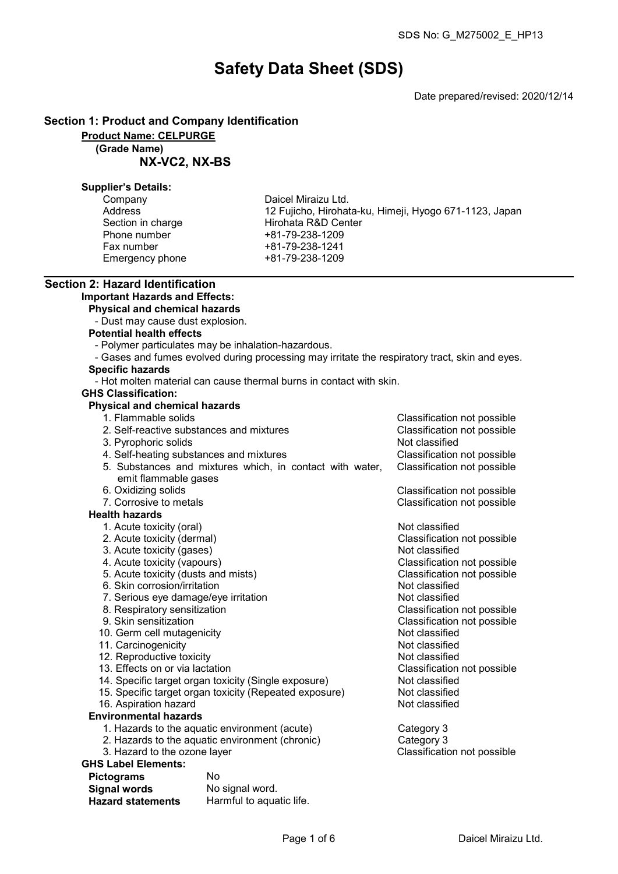# Safety Data Sheet (SDS)

Date prepared/revised: 2020/12/14

# Section 1: Product and Company Identification

Product Name: CELPURGE

(Grade Name)

NX-VC2, NX-BS

## Supplier's Details:

| Company           |
|-------------------|
| Address           |
| Section in charge |
| Phone number      |
| Fax number        |
| Emergency phone   |

Daicel Miraizu Ltd. 12 Fujicho, Hirohata-ku, Himeji, Hyogo 671-1123, Japan Hirohata R&D Center +81-79-238-1209 Fax number +81-79-238-1241 Emergency phone +81-79-238-1209

#### Section 2: Hazard Identification Important Hazards and Effects:

Physical and chemical hazards

- Dust may cause dust explosion.
- Potential health effects
	- Polymer particulates may be inhalation-hazardous.
- Gases and fumes evolved during processing may irritate the respiratory tract, skin and eyes.

# Specific hazards

- Hot molten material can cause thermal burns in contact with skin.

# GHS Classification:

# Physical and chemical hazards

- 1. Flammable solids Classification not possible
- 2. Self-reactive substances and mixtures Classification not possible 3. Pyrophoric solids Not classified 4. Self-heating substances and mixtures Classification not possible 5. Substances and mixtures which, in contact with water, emit flammable gases Classification not possible 6. Oxidizing solids Classification not possible 7. Corrosive to metals Classification not possible Health hazards 1. Acute toxicity (oral) and the contract of the Not classified 2. Acute toxicity (dermal) Classification not possible 3. Acute toxicity (gases) Not classified<br>
4. Acute toxicity (vapours) Not classification<br>
3. Acute toxicity (vapours) Classification not possible<br>Classification not possible 5. Acute toxicity (dusts and mists) Classification control of the Section of Posterion not possible the Section of Posterion not possible the Section of Posterion not possible the Section of Posterion not possible the Sect 6. Skin corrosion/irritation<br>
7. Serious eve damage/eve irritation<br>
2. Serious eve damage/eve irritation 7. Serious eye damage/eye irritation Not classified 8. Respiratory sensitization<br>9. Skin sensitization Classification not possible<br>Not classified 10. Germ cell mutagenicity **Not classified**<br>11. Carcinogenicity **Not classified** 11. Carcinogenicity<br>12. Reproductive toxicity Not classified<br>12. Reproductive toxicity 12. Reproductive toxicity<br>13. Effects on or via lactation Classification not possible<br>Not classified 14. Specific target organ toxicity (Single exposure) Not classified<br>15. Specific target organ toxicity (Repeated exposure) Not classified 15. Specific target organ toxicity (Repeated exposure) Not classified<br>16. Aspiration hazard 16. Aspiration hazard Environmental hazards 1. Hazards to the aquatic environment (acute) Category 3 2. Hazards to the aquatic environment (chronic) Category 3<br>3. Hazard to the ozone layer Classification not possible

#### GHS Label Elements:

| <b>Pictograms</b>        | No                       |
|--------------------------|--------------------------|
| <b>Signal words</b>      | No signal word.          |
| <b>Hazard statements</b> | Harmful to aquatic life. |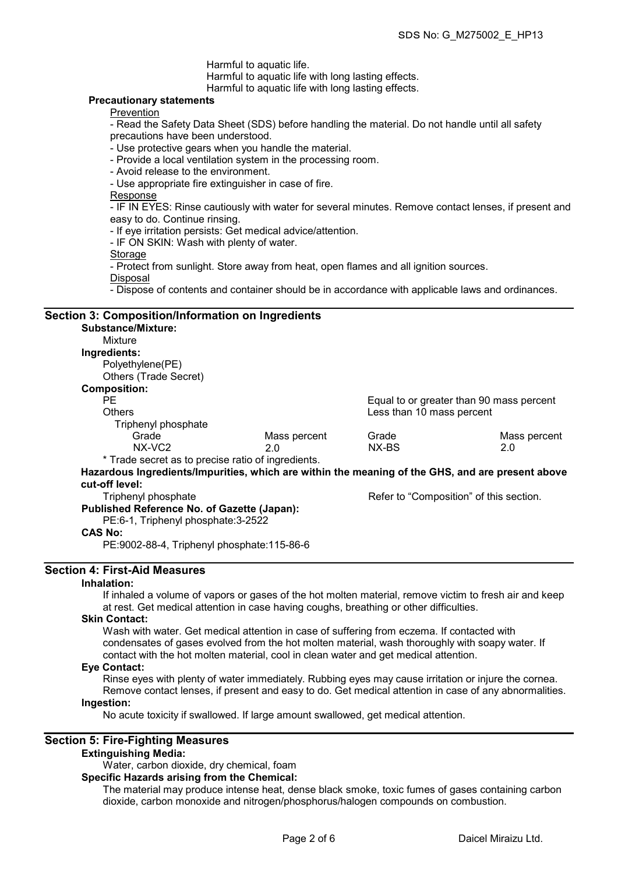Harmful to aquatic life.

Harmful to aquatic life with long lasting effects.

Harmful to aquatic life with long lasting effects.

## Precautionary statements

**Prevention** 

- Read the Safety Data Sheet (SDS) before handling the material. Do not handle until all safety precautions have been understood.

- Use protective gears when you handle the material.

- Provide a local ventilation system in the processing room.
- Avoid release to the environment.

- Use appropriate fire extinguisher in case of fire.

Response

- IF IN EYES: Rinse cautiously with water for several minutes. Remove contact lenses, if present and easy to do. Continue rinsing.

- If eye irritation persists: Get medical advice/attention.

- IF ON SKIN: Wash with plenty of water.

**Storage** 

- Protect from sunlight. Store away from heat, open flames and all ignition sources.

Disposal

- Dispose of contents and container should be in accordance with applicable laws and ordinances.

#### Section 3: Composition/Information on Ingredients

Substance/Mixture: Mixture Ingredients: Polyethylene(PE) Others (Trade Secret) Composition: PE equal to or greater than 90 mass percent<br>Others example and the set of the set of the set of the set of the set of the set of the set of the set of the set of the set of the set of the set of the set of the set of the s Less than 10 mass percent Triphenyl phosphate Grade Mass percent Grade Mass percent NX-VC2 2.0 NX-BS 2.0 \* Trade secret as to precise ratio of ingredients. Hazardous Ingredients/Impurities, which are within the meaning of the GHS, and are present above cut-off level:<br>Triphenyl phosphate Refer to "Composition" of this section. Published Reference No. of Gazette (Japan): PE:6-1, Triphenyl phosphate:3-2522 CAS No: PE:9002-88-4, Triphenyl phosphate:115-86-6

# Section 4: First-Aid Measures

#### Inhalation:

If inhaled a volume of vapors or gases of the hot molten material, remove victim to fresh air and keep at rest. Get medical attention in case having coughs, breathing or other difficulties.

#### Skin Contact:

Wash with water. Get medical attention in case of suffering from eczema. If contacted with condensates of gases evolved from the hot molten material, wash thoroughly with soapy water. If contact with the hot molten material, cool in clean water and get medical attention.

#### Eye Contact:

Rinse eyes with plenty of water immediately. Rubbing eyes may cause irritation or injure the cornea. Remove contact lenses, if present and easy to do. Get medical attention in case of any abnormalities.

#### Ingestion:

No acute toxicity if swallowed. If large amount swallowed, get medical attention.

# Section 5: Fire-Fighting Measures

## Extinguishing Media:

Water, carbon dioxide, dry chemical, foam

Specific Hazards arising from the Chemical:

The material may produce intense heat, dense black smoke, toxic fumes of gases containing carbon dioxide, carbon monoxide and nitrogen/phosphorus/halogen compounds on combustion.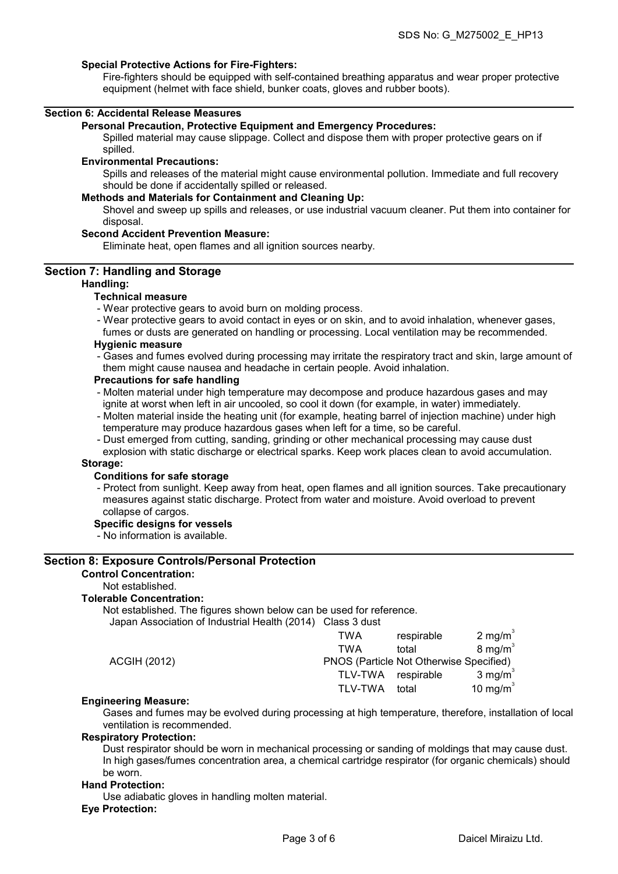#### Special Protective Actions for Fire-Fighters:

Fire-fighters should be equipped with self-contained breathing apparatus and wear proper protective equipment (helmet with face shield, bunker coats, gloves and rubber boots).

### Section 6: Accidental Release Measures

#### Personal Precaution, Protective Equipment and Emergency Procedures:

Spilled material may cause slippage. Collect and dispose them with proper protective gears on if spilled.

#### Environmental Precautions:

Spills and releases of the material might cause environmental pollution. Immediate and full recovery should be done if accidentally spilled or released.

#### Methods and Materials for Containment and Cleaning Up:

Shovel and sweep up spills and releases, or use industrial vacuum cleaner. Put them into container for disposal.

#### Second Accident Prevention Measure:

Eliminate heat, open flames and all ignition sources nearby.

#### Section 7: Handling and Storage

#### Handling:

# Technical measure

- Wear protective gears to avoid burn on molding process.
- Wear protective gears to avoid contact in eyes or on skin, and to avoid inhalation, whenever gases,

fumes or dusts are generated on handling or processing. Local ventilation may be recommended. Hygienic measure

## - Gases and fumes evolved during processing may irritate the respiratory tract and skin, large amount of them might cause nausea and headache in certain people. Avoid inhalation.

#### Precautions for safe handling

- Molten material under high temperature may decompose and produce hazardous gases and may ignite at worst when left in air uncooled, so cool it down (for example, in water) immediately.
- Molten material inside the heating unit (for example, heating barrel of injection machine) under high temperature may produce hazardous gases when left for a time, so be careful.
- Dust emerged from cutting, sanding, grinding or other mechanical processing may cause dust
- explosion with static discharge or electrical sparks. Keep work places clean to avoid accumulation. Storage:

# Conditions for safe storage

- Protect from sunlight. Keep away from heat, open flames and all ignition sources. Take precautionary measures against static discharge. Protect from water and moisture. Avoid overload to prevent collapse of cargos.

#### Specific designs for vessels

- No information is available.

#### Section 8: Exposure Controls/Personal Protection

#### Control Concentration:

Not established.

#### Tolerable Concentration:

Not established. The figures shown below can be used for reference. Japan Association of Industrial Health (2014) Class 3 dust

| <b>TWA</b> | respirable | 2 mg/m <sup>3</sup>                     |
|------------|------------|-----------------------------------------|
| TWA        | total      | $8 \text{ mg/m}^3$                      |
|            |            |                                         |
| TLV-TWA    | respirable | $3 \text{ mg/m}^3$                      |
| TLV-TWA    | total      | 10 mg/m $3$                             |
|            |            | PNOS (Particle Not Otherwise Specified) |

#### Engineering Measure:

Gases and fumes may be evolved during processing at high temperature, therefore, installation of local ventilation is recommended.

# Respiratory Protection:

Dust respirator should be worn in mechanical processing or sanding of moldings that may cause dust. In high gases/fumes concentration area, a chemical cartridge respirator (for organic chemicals) should be worn.

#### Hand Protection:

Use adiabatic gloves in handling molten material.

#### Eye Protection: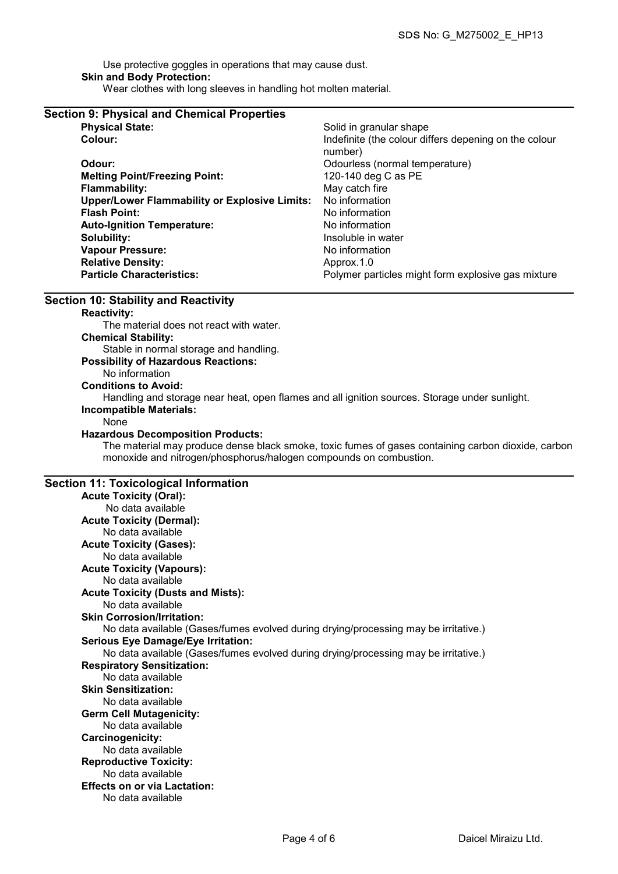Use protective goggles in operations that may cause dust. Skin and Body Protection: Wear clothes with long sleeves in handling hot molten material.

| <b>Section 9: Physical and Chemical Properties</b>   |                                                                  |
|------------------------------------------------------|------------------------------------------------------------------|
| <b>Physical State:</b>                               | Solid in granular shape                                          |
| Colour:                                              | Indefinite (the colour differs depening on the colour<br>number) |
| Odour:                                               | Odourless (normal temperature)                                   |
| <b>Melting Point/Freezing Point:</b>                 | 120-140 deg C as PE                                              |
| <b>Flammability:</b>                                 | May catch fire                                                   |
| <b>Upper/Lower Flammability or Explosive Limits:</b> | No information                                                   |
| <b>Flash Point:</b>                                  | No information                                                   |
| <b>Auto-Ignition Temperature:</b>                    | No information                                                   |
| Solubility:                                          | Insoluble in water                                               |
| <b>Vapour Pressure:</b>                              | No information                                                   |
| <b>Relative Density:</b>                             | Approx.1.0                                                       |
| <b>Particle Characteristics:</b>                     | Polymer particles might form explosive gas mixture               |

## Section 10: Stability and Reactivity

# Reactivity: The material does not react with water. Chemical Stability: Stable in normal storage and handling. Possibility of Hazardous Reactions: No information Conditions to Avoid: Handling and storage near heat, open flames and all ignition sources. Storage under sunlight. Incompatible Materials: None Hazardous Decomposition Products: The material may produce dense black smoke, toxic fumes of gases containing carbon dioxide, carbon monoxide and nitrogen/phosphorus/halogen compounds on combustion.

# Section 11: Toxicological Information

| $\cdots \cdots \cdots$                                                              |
|-------------------------------------------------------------------------------------|
| <b>Acute Toxicity (Oral):</b>                                                       |
| No data available                                                                   |
| <b>Acute Toxicity (Dermal):</b>                                                     |
| No data available                                                                   |
| <b>Acute Toxicity (Gases):</b>                                                      |
| No data available                                                                   |
| <b>Acute Toxicity (Vapours):</b>                                                    |
| No data available                                                                   |
| <b>Acute Toxicity (Dusts and Mists):</b>                                            |
| No data available                                                                   |
| <b>Skin Corrosion/Irritation:</b>                                                   |
| No data available (Gases/fumes evolved during drying/processing may be irritative.) |
| <b>Serious Eye Damage/Eye Irritation:</b>                                           |
| No data available (Gases/fumes evolved during drying/processing may be irritative.) |
| <b>Respiratory Sensitization:</b>                                                   |
| No data available                                                                   |
| <b>Skin Sensitization:</b>                                                          |
| No data available                                                                   |
| <b>Germ Cell Mutagenicity:</b>                                                      |
| No data available                                                                   |
| Carcinogenicity:                                                                    |
| No data available                                                                   |
| <b>Reproductive Toxicity:</b>                                                       |
| No data available                                                                   |
| <b>Effects on or via Lactation:</b>                                                 |
| No data available                                                                   |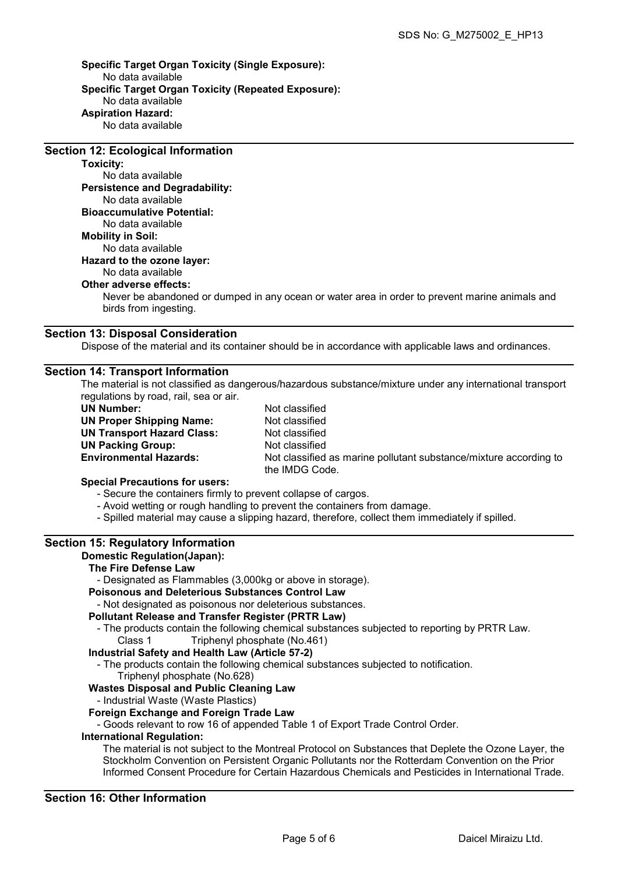Specific Target Organ Toxicity (Single Exposure): No data available Specific Target Organ Toxicity (Repeated Exposure): No data available Aspiration Hazard: No data available

Section 12: Ecological Information

# Toxicity:

No data available Persistence and Degradability: No data available Bioaccumulative Potential: No data available Mobility in Soil: No data available Hazard to the ozone layer: No data available Other adverse effects:

Never be abandoned or dumped in any ocean or water area in order to prevent marine animals and birds from ingesting.

# Section 13: Disposal Consideration

Dispose of the material and its container should be in accordance with applicable laws and ordinances.

# Section 14: Transport Information

The material is not classified as dangerous/hazardous substance/mixture under any international transport regulations by road, rail, sea or air.

UN Number: Not classified UN Proper Shipping Name: Not classified UN Transport Hazard Class: Not classified UN Packing Group: Not classified

Environmental Hazards: Not classified as marine pollutant substance/mixture according to the IMDG Code.

# Special Precautions for users:

- Secure the containers firmly to prevent collapse of cargos.
- Avoid wetting or rough handling to prevent the containers from damage.
- Spilled material may cause a slipping hazard, therefore, collect them immediately if spilled.

# Section 15: Regulatory Information

#### Domestic Regulation(Japan):

## The Fire Defense Law

- Designated as Flammables (3,000kg or above in storage).

# Poisonous and Deleterious Substances Control Law

- Not designated as poisonous nor deleterious substances.

#### Pollutant Release and Transfer Register (PRTR Law)

- The products contain the following chemical substances subjected to reporting by PRTR Law. Class 1 Triphenyl phosphate (No.461)

#### Industrial Safety and Health Law (Article 57-2)

- The products contain the following chemical substances subjected to notification.

#### Triphenyl phosphate (No.628)

#### Wastes Disposal and Public Cleaning Law

- Industrial Waste (Waste Plastics)

#### Foreign Exchange and Foreign Trade Law

- Goods relevant to row 16 of appended Table 1 of Export Trade Control Order.

#### International Regulation:

The material is not subject to the Montreal Protocol on Substances that Deplete the Ozone Layer, the Stockholm Convention on Persistent Organic Pollutants nor the Rotterdam Convention on the Prior Informed Consent Procedure for Certain Hazardous Chemicals and Pesticides in International Trade.